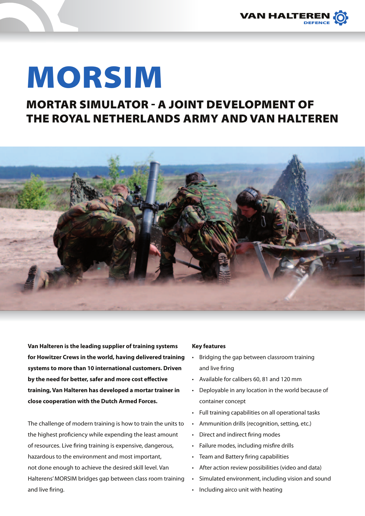

# MORSIM

## Mortar Simulator - A joint development of the Royal Netherlands Army and Van Halteren



**Van Halteren is the leading supplier of training systems for Howitzer Crews in the world, having delivered training systems to more than 10 international customers. Driven by the need for better, safer and more cost effective training, Van Halteren has developed a mortar trainer in close cooperation with the Dutch Armed Forces.**

The challenge of modern training is how to train the units to the highest proficiency while expending the least amount of resources. Live firing training is expensive, dangerous, hazardous to the environment and most important, not done enough to achieve the desired skill level. Van Halterens' MORSIM bridges gap between class room training and live firing.

#### **Key features**

- Bridging the gap between classroom training and live firing
- • Available for calibers 60, 81 and 120 mm
- Deployable in any location in the world because of container concept
- • Full training capabilities on all operational tasks
- • Ammunition drills (recognition, setting, etc.)
- • Direct and indirect firing modes
- • Failure modes, including misfire drills
- • Team and Battery firing capabilities
- After action review possibilities (video and data)
- Simulated environment, including vision and sound
- Including airco unit with heating